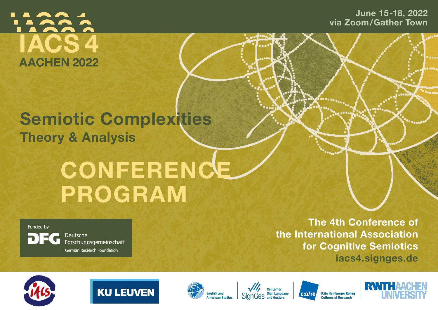

June 15-18, 2022 via Zoom/Gather Town

## Semiotic Complexities **Theory & Analysis**

# **CONFERENCE** PROGRAM

Funded by DEG

Deutsche Forschungsgemeinschaft German Research Foundation

The 4th Conference of the International Association for Cognitive Semiotics iacs4.signges.de













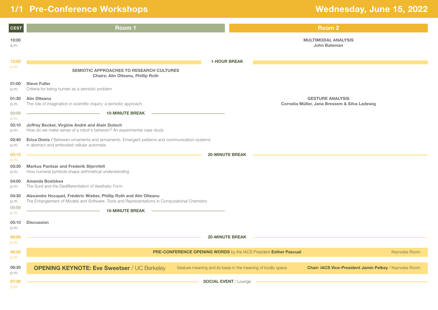### 1/1 Pre-Conference Workshops **Wednesday, June 15, 2022**

| <b>CEST</b>                    | <b>Room1</b>                                                                                                                                                                                 |                              | <b>Room 2</b>                                                                                                                  |
|--------------------------------|----------------------------------------------------------------------------------------------------------------------------------------------------------------------------------------------|------------------------------|--------------------------------------------------------------------------------------------------------------------------------|
| 10:00<br>a.m.                  |                                                                                                                                                                                              |                              | <b>MULTIMODAL ANALYSIS</b><br>John Bateman                                                                                     |
| 12:00<br>p.m.                  | SEMIOTIC APPROACHES TO RESEARCH CULTURES<br>Chairs: Alin Olteanu, Phillip Roth                                                                                                               | <b>1-HOUR BREAK</b>          |                                                                                                                                |
| 01:00<br>p.m.                  | <b>Steve Fuller</b><br>Criteria for being human as a semiotic problem                                                                                                                        |                              |                                                                                                                                |
| 01:30<br>p.m.                  | <b>Alin Olteanu</b><br>The role of imagination in scientific inquiry: a semiotic approach                                                                                                    |                              | <b>GESTURE ANALYSIS</b><br>Cornelia Müller, Jana Bressem & Silva Ladewig                                                       |
| 02:00<br>p.m.<br>02:10<br>p.m. | <b>10-MINUTE BREAK</b><br>Joffrey Becker, Virginie André and Alain Dutech<br>How do we make sense of a robot's behavior? An experimental case study                                          |                              |                                                                                                                                |
| 02:40<br>p.m.                  | <b>Erica Onnis / Between ornaments and armaments. Emergent patterns and communication systems</b><br>in abstract and embodied cellular automata                                              |                              |                                                                                                                                |
| 03:10<br>p.m.<br>03:30<br>p.m. | <b>Markus Pantsar and Frederik Stjernfelt</b><br>How numeral symbols shape arithmetical understanding                                                                                        | <b>20-MINUTE BREAK</b>       |                                                                                                                                |
| 04:00<br>p.m.                  | <b>Amanda Boetzkes</b><br>The Surd and the Dedifferentiation of Aesthetic Form                                                                                                               |                              |                                                                                                                                |
| 04:30<br>p.m.<br>05:00<br>p.m. | Alexandre Hocquet, Frédéric Wieber, Phillip Roth and Alin Olteanu<br>The Entanglement of Models and Software. Tools and Representations in Computational Chemistry<br><b>10-MINUTE BREAK</b> |                              |                                                                                                                                |
| 05:10<br>p.m.                  | <b>Discussion</b>                                                                                                                                                                            |                              |                                                                                                                                |
| 06:00<br>p.m.                  |                                                                                                                                                                                              | <b>20-MINUTE BREAK</b>       |                                                                                                                                |
| 06:20<br>p.m.                  | PRE-CONFERENCE OPENING WORDS by the IACS President Esther Pascual                                                                                                                            |                              | <b>Keynotes Room</b>                                                                                                           |
| 06:30<br>p.m.                  | <b>OPENING KEYNOTE: Eve Sweetser / UC Berkeley</b>                                                                                                                                           |                              | <b>Chair: IACS Vice-President Jamin Pelkey / Keynotes Room</b><br>Gesture meaning and its basis in the meaning of bodily space |
| 07:30<br>p.m.                  |                                                                                                                                                                                              | <b>SOCIAL EVENT</b> / Lounge |                                                                                                                                |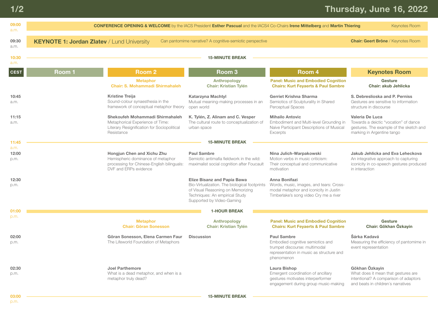### Thursday, June 16, 2022

| 09:00<br>a.m.         | <b>CONFERENCE OPENING &amp; WELCOME</b> by the IACS President Esther Pascual and the IACS4 Co-Chairs Irene Mittelberg and Martin Thiering<br><b>Keynotes Room</b> |                                                                                                                                        |                                                                                                                                                                                         |                                                                                                                                                   |                                                                                                                                        |
|-----------------------|-------------------------------------------------------------------------------------------------------------------------------------------------------------------|----------------------------------------------------------------------------------------------------------------------------------------|-----------------------------------------------------------------------------------------------------------------------------------------------------------------------------------------|---------------------------------------------------------------------------------------------------------------------------------------------------|----------------------------------------------------------------------------------------------------------------------------------------|
| 09:30<br>a.m.         | <b>KEYNOTE 1: Jordan Zlatev / Lund University</b>                                                                                                                 | <b>Chair: Geert Brône / Keynotes Room</b>                                                                                              |                                                                                                                                                                                         |                                                                                                                                                   |                                                                                                                                        |
| 10:30<br>a.m.         |                                                                                                                                                                   |                                                                                                                                        | <b>15-MINUTE BREAK</b>                                                                                                                                                                  |                                                                                                                                                   |                                                                                                                                        |
| <b>CEST</b>           | Room <sub>1</sub>                                                                                                                                                 | <b>Room 2</b>                                                                                                                          | Room <sub>3</sub>                                                                                                                                                                       | Room <sub>4</sub>                                                                                                                                 | <b>Keynotes Room</b>                                                                                                                   |
|                       |                                                                                                                                                                   | <b>Metaphor</b><br><b>Chair: S. Mohammadi Shirmahaleh</b>                                                                              | <b>Anthropology</b><br><b>Chair: Kristian Tylén</b>                                                                                                                                     | <b>Panel: Music and Embodied Cognition</b><br><b>Chairs: Kurt Feyaerts &amp; Paul Sambre</b>                                                      | Gesture<br>Chair: akub Jehlicka                                                                                                        |
| 10:45<br>a.m.         |                                                                                                                                                                   | <b>Kristine Treija</b><br>Sound-colour synaesthesia in the<br>framework of conceptual metaphor theory                                  | <b>Katarzyna Machtyl</b><br>Mutual meaning-making processes in an<br>open world                                                                                                         | Gerriet Krishna Sharma<br>Semiotics of Sculpturality in Shared<br>Perceptual Spaces                                                               | S. Debreslioska and P. Perniss<br>Gestures are sensitive to information<br>structure in discourse                                      |
| 11:15<br>a.m.         |                                                                                                                                                                   | Shekoufeh Mohammadi Shirmahaleh<br>Metaphorical Experience of Time:<br>Literary Resignification for Sociopolitical<br>Resistance       | K. Tylén, Z. Alinam and C. Vesper<br>The cultural route to conceptualization of<br>urban space                                                                                          | <b>Mihailo Antovic</b><br>Embodiment and Multi-level Grounding in<br>Naive Participant Descriptions of Musical<br>Excerpts                        | Valeria De Luca<br>Towards a deictic "vocation" of dance<br>gestures. The example of the sketch and<br>marking in Argentine tango      |
| 11:45                 |                                                                                                                                                                   |                                                                                                                                        | <b>15-MINUTE BREAK</b>                                                                                                                                                                  |                                                                                                                                                   |                                                                                                                                        |
| a.m.<br>12:00<br>p.m. |                                                                                                                                                                   | Hongjun Chen and Xichu Zhu<br>Hemispheric dominance of metaphor<br>processing for Chinese-English bilinguals:<br>DVF and ERPs evidence | <b>Paul Sambre</b><br>Semiotic antimafia fieldwork in the wild:<br>maximalist social cognition after Foucault                                                                           | Nina Julich-Warpakowski<br>Motion verbs in music criticism:<br>Their conceptual and communicative<br>motivation                                   | Jakub Jehlicka and Eva Leheckova<br>An integrative approach to capturing<br>iconicity in co-speech gestures produced<br>in interaction |
| 12:30<br>p.m.         |                                                                                                                                                                   |                                                                                                                                        | <b>Elize Bisanz and Papia Bawa</b><br>Bio-Virtualization. The biological footprints<br>of Visual Reasoning on Memorizing<br>Techniques: An empirical Study<br>Supported by Video-Gaming | Anna Bonifazi<br>Words, music, images, and tears: Cross-<br>modal metaphor and iconicity in Justin<br>Timberlake's song video Cry me a river      |                                                                                                                                        |
| 01:00                 |                                                                                                                                                                   |                                                                                                                                        | <b>1-HOUR BREAK</b>                                                                                                                                                                     |                                                                                                                                                   |                                                                                                                                        |
| p.m.                  |                                                                                                                                                                   | <b>Metaphor</b><br><b>Chair: Göran Sonesson</b>                                                                                        | Anthropology<br><b>Chair: Kristian Tylén</b>                                                                                                                                            | <b>Panel: Music and Embodied Cognition</b><br><b>Chairs: Kurt Feyaerts &amp; Paul Sambre</b>                                                      | Gesture<br>Chair: Gökhan Özkayin                                                                                                       |
| 02:00<br>p.m.         |                                                                                                                                                                   | Göran Sonesson, Elena Carmen Faur<br>The Lifeworld Foundation of Metaphors                                                             | <b>Discussion</b>                                                                                                                                                                       | <b>Paul Sambre</b><br>Embodied cognitive semiotics and<br>trumpet discourse: multimodal<br>representation in music as structure and<br>phenomenon | Šárka Kadavá<br>Measuring the efficiency of pantomime in<br>event representation                                                       |
| 02:30<br>p.m.         |                                                                                                                                                                   | <b>Joel Parthemore</b><br>What is a dead metaphor, and when is a<br>metaphor truly dead?                                               |                                                                                                                                                                                         | Laura Bishop<br>Emergent coordination of ancillary<br>gestures motivates interperformer<br>engagement during group music-making                   | Gökhan Özkayin<br>What does it mean that gestures are<br>intentional? A comparison of adaptors<br>and beats in children's narratives   |

03:00 p.m.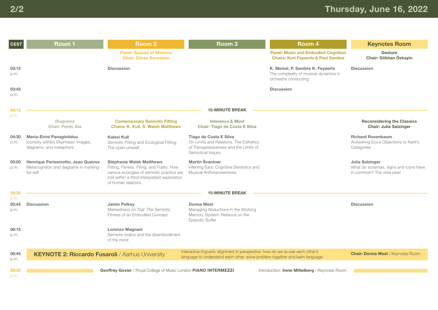| <b>CEST</b>           | Room <sub>1</sub>                                                                             | <b>Room 2</b>                                                                                                                                                                                     | Room <sub>3</sub>                                                                                                                                              | Room 4                                                                                            | <b>Keynotes Room</b>                                                                   |
|-----------------------|-----------------------------------------------------------------------------------------------|---------------------------------------------------------------------------------------------------------------------------------------------------------------------------------------------------|----------------------------------------------------------------------------------------------------------------------------------------------------------------|---------------------------------------------------------------------------------------------------|----------------------------------------------------------------------------------------|
|                       |                                                                                               | <b>Panel: Spaces of Memory</b><br><b>Chair: Göran Sonesson</b>                                                                                                                                    |                                                                                                                                                                | <b>Panel: Music and Embodied Cognition</b><br><b>Chairs: Kurt Feyaerts &amp; Paul Sambre</b>      | Gesture<br>Chair: Gökhan Özkayin                                                       |
| 03:15<br>p.m.         |                                                                                               | <b>Discussion</b>                                                                                                                                                                                 |                                                                                                                                                                | K. Meissl, P. Sambre K. Feyaerts<br>The complexity of musical dynamics in<br>orchestra conducting | <b>Discussion</b>                                                                      |
| 03:45<br>p.m.         |                                                                                               |                                                                                                                                                                                                   |                                                                                                                                                                | <b>Discussion</b>                                                                                 |                                                                                        |
| 04:15<br>p.m.         |                                                                                               |                                                                                                                                                                                                   | <b>15-MINUTE BREAK</b>                                                                                                                                         |                                                                                                   |                                                                                        |
|                       | <b>Diagrams</b><br><b>Chair: Perdo Ata</b>                                                    | <b>Contemporary Semiotic Fitting</b><br><b>Chairs: K. Kull, S. Walsh Matthews</b>                                                                                                                 | <b>Inference &amp; Mind</b><br><b>Chair: Tiago da Costa E Silva</b>                                                                                            |                                                                                                   | <b>Reconsidering the Classics</b><br><b>Chair: Julia Salzinger</b>                     |
| 04:30<br>p.m.         | Maria-Eirini Panagiotidou<br>Iconicity with(in) Ekphrasis: Images,<br>diagrams, and metaphors | <b>Kalevi Kull</b><br>Semiotic Fitting and Ecological Fitting:<br>The open umwelt                                                                                                                 | Tiago da Costa E Silva<br>On Limits and Relations. The Esthetics<br>of Transgressiveness and the Limits of<br>Semiotical Inquiry                               |                                                                                                   | <b>Richard Rosenbaum</b><br>Answering Eco's Objections to Kant's<br>Categories         |
| 05:00<br>p.m.         | Henrique Perissinotto, Joao Queiroz<br>Metacognition and diagrams in marking-<br>for-self     | <b>Stéphanie Walsh Matthews</b><br>Fitting, Fitness, Firing, and Frailty: How<br>various ecologies of semiotic practice are<br>lost within a third-interpretant exploration<br>of human relations | Martin Švantner<br>Inferring Ears: Cognitive Semiotics and<br>Musical Anthroposemiosis                                                                         |                                                                                                   | Julia Salzinger<br>What do schemas, signs and icons have<br>in common? The viola joke! |
| 05:30                 |                                                                                               |                                                                                                                                                                                                   | <b>15-MINUTE BREAK</b>                                                                                                                                         |                                                                                                   |                                                                                        |
| p.m.<br>05:45<br>p.m. | <b>Discussion</b>                                                                             | <b>Jamin Pelkey</b><br>Markedness on Trial: The Semiotic<br>Fitness of an Embodied Concept                                                                                                        | Donna West<br>Managing Abductions in the Working<br>Memory System: Reliance on the<br>Episodic Buffer                                                          |                                                                                                   | <b>Discussion</b>                                                                      |
| 06:15<br>p.m.         |                                                                                               | Lorenzo Magnani<br>Semiotic brains and the disembodiment<br>of the mind                                                                                                                           |                                                                                                                                                                |                                                                                                   |                                                                                        |
| 06:45<br>p.m.         | <b>KEYNOTE 2: Riccardo Fusaroli / Aarhus University</b>                                       |                                                                                                                                                                                                   | Interactive linguistic alignment in perspective: how do we re-use each other's<br>language to understand each other, solve problem together and learn language |                                                                                                   | <b>Chair: Donna West / Keynotes Room</b>                                               |
| 08:30<br>p.m.         |                                                                                               | Geoffrey Govier / Royal College of Music London PIANO INTERMEZZI                                                                                                                                  |                                                                                                                                                                | Introduction: Irene Mittelberg / Keynotes Room                                                    |                                                                                        |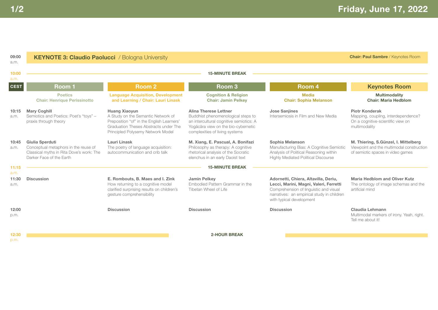| 09:00<br>a.m.         | <b>KEYNOTE 3: Claudio Paolucci</b> / Bologna University                                                                         |                                                                                                                                                                                       |                                                                                                                                                                                 |                                                                                                                                                                                                    | <b>Chair: Paul Sambre / Keynotes Room</b>                                                                              |
|-----------------------|---------------------------------------------------------------------------------------------------------------------------------|---------------------------------------------------------------------------------------------------------------------------------------------------------------------------------------|---------------------------------------------------------------------------------------------------------------------------------------------------------------------------------|----------------------------------------------------------------------------------------------------------------------------------------------------------------------------------------------------|------------------------------------------------------------------------------------------------------------------------|
| 10:00<br>a.m.         |                                                                                                                                 |                                                                                                                                                                                       | <b>15-MINUTE BREAK</b>                                                                                                                                                          |                                                                                                                                                                                                    |                                                                                                                        |
| <b>CEST</b>           | Room 1                                                                                                                          | Room <sub>2</sub>                                                                                                                                                                     | Room <sub>3</sub>                                                                                                                                                               | Room 4                                                                                                                                                                                             | <b>Keynotes Room</b>                                                                                                   |
|                       | <b>Poetics</b><br><b>Chair: Henrique Perissinotto</b>                                                                           | <b>Language Acquisition, Development</b><br>and Learning / Chair: Lauri Linask                                                                                                        | <b>Cognition &amp; Religion</b><br><b>Chair: Jamin Pelkey</b>                                                                                                                   | <b>Media</b><br><b>Chair: Sophia Melanson</b>                                                                                                                                                      | <b>Multimodality</b><br><b>Chair: Maria Hedblom</b>                                                                    |
| 10:15<br>a.m.         | <b>Mary Coghill</b><br>Semiotics and Poetics: Poet's "toys" -<br>praxis through theory                                          | <b>Huang Xiaoyun</b><br>A Study on the Semantic Network of<br>Preposition "of" in the English Learners'<br>Graduation Theses Abstracts under The<br>Principled Polysemy Network Model | Alina Therese Lettner<br>Buddhist phenomenological steps to<br>an intercultural cognitive semiotics: A<br>Yogācāra view on the bio-cybernetic<br>complexities of living systems | <b>Jose Sanjines</b><br>Intersemiosis in Film and New Media                                                                                                                                        | <b>Piotr Konderak</b><br>Mapping, coupling, interdependence?<br>On a cognitive-scientific view on<br>multimodality     |
| 10:45<br>a.m.         | Giulia Sperduti<br>Conceptual metaphors in the reuse of<br>Classical myths in Rita Dove's work: The<br>Darker Face of the Earth | Lauri Linask<br>The poetry of language acquisition:<br>autocommunication and crib talk                                                                                                | M. Xiang, E. Pascual, A. Bonifazi<br>Philosophy as therapy: A cognitive<br>rhetorical analysis of the Socratic<br>elenchus in an early Daoist text                              | Sophia Melanson<br>Manufacturing Bias: A Cognitive Semiotic<br>Analysis of Political Reasoning within<br><b>Highly Mediated Political Discourse</b>                                                | M. Thiering, S.Günzel, I. Mittelberg<br>Viewpoint and the multimodal construction<br>of semiotic spaces in video games |
| 11:15                 |                                                                                                                                 |                                                                                                                                                                                       | <b>15-MINUTE BREAK</b>                                                                                                                                                          |                                                                                                                                                                                                    |                                                                                                                        |
| a.m.<br>11:30<br>a.m. | <b>Discussion</b>                                                                                                               | E. Rombouts, B. Maes and I. Zink<br>How returning to a cognitive model<br>clarified surprising results on children's<br>gesture comprehensibility                                     | <b>Jamin Pelkey</b><br>Embodied Pattern Grammar in the<br>Tibetan Wheel of Life                                                                                                 | Adornetti, Chiera, Altavilla, Deriu,<br>Lecci, Marini, Magni, Valeri, Ferretti<br>Comprehension of linguistic and visual<br>narratives: an empirical study in children<br>with typical development | <b>Maria Hedblom and Oliver Kutz</b><br>The ontology of image schemas and the<br>artificial mind                       |
| 12:00<br>p.m.         |                                                                                                                                 | <b>Discussion</b>                                                                                                                                                                     | <b>Discussion</b>                                                                                                                                                               | <b>Discussion</b>                                                                                                                                                                                  | Claudia Lehmann<br>Multimodal markers of irony. Yeah, right.<br>Tell me about it!                                      |
| 12:30                 |                                                                                                                                 |                                                                                                                                                                                       | <b>2-HOUR BREAK</b>                                                                                                                                                             |                                                                                                                                                                                                    |                                                                                                                        |
| p.m.                  |                                                                                                                                 |                                                                                                                                                                                       |                                                                                                                                                                                 |                                                                                                                                                                                                    |                                                                                                                        |

1/2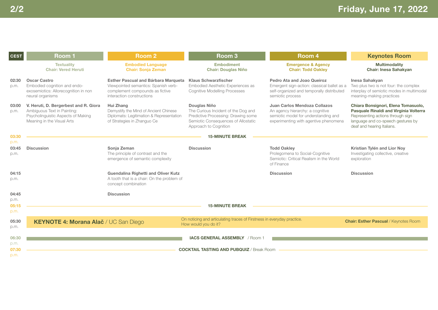| <b>CEST</b>           | Room 1                                                                                                                                   | <b>Room 2</b>                                                                                                                               | Room <sub>3</sub>                                                                                                                                          | Room <sub>4</sub>                                                                                                                                 | <b>Keynotes Room</b>                                                                                                                                                                   |
|-----------------------|------------------------------------------------------------------------------------------------------------------------------------------|---------------------------------------------------------------------------------------------------------------------------------------------|------------------------------------------------------------------------------------------------------------------------------------------------------------|---------------------------------------------------------------------------------------------------------------------------------------------------|----------------------------------------------------------------------------------------------------------------------------------------------------------------------------------------|
|                       | <b>Textuality</b><br><b>Chair: Vered Heruti</b>                                                                                          | <b>Embodied Language</b><br><b>Chair: Sonja Zeman</b>                                                                                       | <b>Embodiment</b><br><b>Chair: Douglas Niño</b>                                                                                                            | <b>Emergence &amp; Agency</b><br><b>Chair: Todd Oakley</b>                                                                                        | <b>Multimodality</b><br><b>Chair: Inesa Sahakvan</b>                                                                                                                                   |
| 02:30<br>p.m.         | <b>Oscar Castro</b><br>Embodied cognition and endo-<br>exosemiotics: Allorecognition in non<br>neural organisms                          | Esther Pascual and Bárbara Marqueta<br>Viewpointed semantics: Spanish verb-<br>complement compounds as fictive<br>interaction constructions | <b>Klaus Schwarzfischer</b><br>Embodied Aesthetic Experiences as<br><b>Cognitive Modelling Processes</b>                                                   | Pedro Ata and Joao Queiroz<br>Emergent sign-action: classical ballet as a<br>self-organized and temporally distributed<br>semiotic process        | Inesa Sahakyan<br>Two plus two is not four: the complex<br>interplay of semiotic modes in multimodal<br>meaning-making practices                                                       |
| 03:00<br>p.m.         | V. Heruti, D. Bergerbest and R. Giora<br>Ambiguous Text in Painting:<br>Psycholinguistic Aspects of Making<br>Meaning in the Visual Arts | Hui Zhang<br>Demystify the Mind of Ancient Chinese<br>Diplomats: Legitimation & Representation<br>of Strategies in Zhanguo Ce               | Douglas Niño<br>The Curious Incident of the Dog and<br>Predictive Processing: Drawing some<br>Semiotic Consequences of Allostatic<br>Approach to Cognition | Juan Carlos Mendoza Collazos<br>An agency hierarchy: a cognitive<br>semiotic model for understanding and<br>experimenting with agentive phenomena | Chiara Bonsignori, Elena Tomasuolo,<br>Pasquale Rinaldi and Virginia Volterra<br>Representing actions through sign<br>language and co-speech gestures by<br>deaf and hearing Italians. |
| 03:30<br>p.m.         |                                                                                                                                          |                                                                                                                                             | <b>15-MINUTE BREAK</b>                                                                                                                                     |                                                                                                                                                   |                                                                                                                                                                                        |
| 03:45<br>p.m.         | <b>Discussion</b>                                                                                                                        | Sonja Zeman<br>The principle of contrast and the<br>emergence of semantic complexity                                                        | <b>Discussion</b>                                                                                                                                          | <b>Todd Oaklev</b><br>Prolegomena to Social-Cognitive<br>Semiotic: Critical Realism in the World<br>of Finance                                    | Kristian Tylén and Lior Nov<br>Investigating collective, creative<br>exploration                                                                                                       |
| 04:15<br>p.m.         |                                                                                                                                          | <b>Guendalina Righetti and Oliver Kutz</b><br>A tooth that is a chair: On the problem of<br>concept combination                             |                                                                                                                                                            | <b>Discussion</b>                                                                                                                                 | <b>Discussion</b>                                                                                                                                                                      |
| 04:45                 |                                                                                                                                          | <b>Discussion</b>                                                                                                                           |                                                                                                                                                            |                                                                                                                                                   |                                                                                                                                                                                        |
| p.m.<br>05:15         |                                                                                                                                          |                                                                                                                                             | <b>15-MINUTE BREAK</b>                                                                                                                                     |                                                                                                                                                   |                                                                                                                                                                                        |
| p.m.                  |                                                                                                                                          |                                                                                                                                             |                                                                                                                                                            |                                                                                                                                                   |                                                                                                                                                                                        |
| 05:30<br>p.m.         | KEYNOTE 4: Morana Alač / UC San Diego                                                                                                    |                                                                                                                                             | On noticing and articulating traces of Firstness in everyday practice.<br>How would you do it?                                                             |                                                                                                                                                   | <b>Chair: Esther Pascual / Keynotes Room</b>                                                                                                                                           |
| 06:30                 |                                                                                                                                          |                                                                                                                                             | <b>IACS GENERAL ASSEMBLY</b> / Room 1                                                                                                                      |                                                                                                                                                   |                                                                                                                                                                                        |
| p.m.<br>07:30<br>p.m. |                                                                                                                                          |                                                                                                                                             | <b>COCKTAIL TASTING AND PUBQUIZ</b> / Break Room                                                                                                           |                                                                                                                                                   |                                                                                                                                                                                        |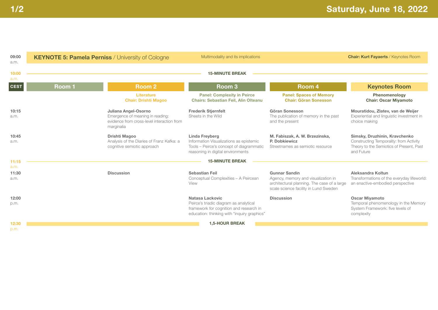| 09:00<br>a.m.         | <b>KEYNOTE 5: Pamela Perniss / University of Cologne</b> |                                                                                                                      | Multimodality and its implications                                                                                                                  |                                                                                                                                                     | <b>Chair: Kurt Fayaerts / Keynotes Room</b>                                                                                        |
|-----------------------|----------------------------------------------------------|----------------------------------------------------------------------------------------------------------------------|-----------------------------------------------------------------------------------------------------------------------------------------------------|-----------------------------------------------------------------------------------------------------------------------------------------------------|------------------------------------------------------------------------------------------------------------------------------------|
| 10:00<br>a.m.         |                                                          |                                                                                                                      | <b>15-MINUTE BREAK</b>                                                                                                                              |                                                                                                                                                     |                                                                                                                                    |
| <b>CEST</b>           | Room 1                                                   | <b>Room 2</b>                                                                                                        | Room <sub>3</sub>                                                                                                                                   | Room 4                                                                                                                                              | <b>Keynotes Room</b>                                                                                                               |
|                       |                                                          | Literature<br><b>Chair: Drishti Magoo</b>                                                                            | <b>Panel: Complexity in Peirce</b><br><b>Chairs: Sebastian Feil, Alin Olteanu</b>                                                                   | <b>Panel: Spaces of Memory</b><br><b>Chair: Göran Sonesson</b>                                                                                      | Phenomenology<br><b>Chair: Oscar Miyamoto</b>                                                                                      |
| 10:15<br>a.m.         |                                                          | Juliana Angel-Osorno<br>Emergence of meaning in reading:<br>evidence from cross-level interaction from<br>marginalia | <b>Frederik Stjernfelt</b><br>Sheets in the Wild                                                                                                    | Göran Sonesson<br>The publication of memory in the past<br>and the present                                                                          | Mouratidou, Zlatev, van de Weijer<br>Experiential and linguistic investment in<br>choice making                                    |
| 10:45<br>a.m.         |                                                          | Drishti Magoo<br>Analysis of the Diaries of Franz Kafka: a<br>cognitive semiotic approach                            | Linda Freyberg<br>Information Visualizations as epistemic<br>Tools - Peirce's concept of diagrammatic<br>reasoning in digital environments          | M. Fabiszak, A. W. Brzezinska,<br>P. Dobkiewicz<br>Streetnames as semiotic resource                                                                 | Simsky, Druzhinin, Kravchenko<br>Constructing Temporality: from Activity<br>Theory to the Semiotics of Present, Past<br>and Future |
| 11:15                 |                                                          |                                                                                                                      | <b>15-MINUTE BREAK</b>                                                                                                                              |                                                                                                                                                     |                                                                                                                                    |
| a.m.<br>11:30<br>a.m. |                                                          | <b>Discussion</b>                                                                                                    | <b>Sebastian Feil</b><br>Conceptual Complexities - A Peircean<br>View                                                                               | <b>Gunnar Sandin</b><br>Agency, memory and visualization in<br>architectural planning. The case of a large<br>scale science facility in Lund Sweden | Aleksandra Koltun<br>Transformations of the everyday lifeworld:<br>an enactive-embodied perspective                                |
| 12:00<br>p.m.         |                                                          |                                                                                                                      | Natasa Lackovic<br>Peirce's triadic diagram as analytical<br>framework for cognition and research in<br>education: thinking with "inquiry graphics" | <b>Discussion</b>                                                                                                                                   | <b>Oscar Mivamoto</b><br>Temporal phenomenology in the Memory<br>System Framework: five levels of<br>complexity                    |
| 12:30<br>p.m.         |                                                          |                                                                                                                      | <b>1,5-HOUR BREAK</b>                                                                                                                               |                                                                                                                                                     |                                                                                                                                    |